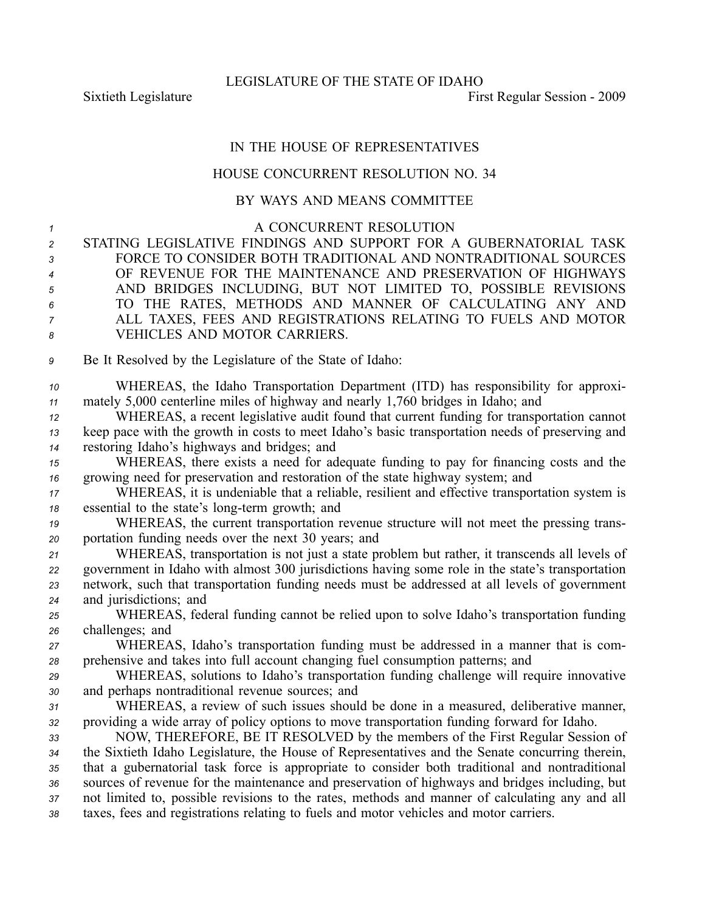LEGISLATURE OF THE STATE OF IDAHO

## IN THE HOUSE OF REPRESENTATIVES

## HOUSE CONCURRENT RESOLUTION NO. 34

## BY WAYS AND MEANS COMMITTEE

| $\mathcal I$   | A CONCURRENT RESOLUTION                                                                          |
|----------------|--------------------------------------------------------------------------------------------------|
| $\overline{c}$ | STATING LEGISLATIVE FINDINGS AND SUPPORT FOR A GUBERNATORIAL TASK                                |
| 3              | FORCE TO CONSIDER BOTH TRADITIONAL AND NONTRADITIONAL SOURCES                                    |
| $\overline{4}$ | OF REVENUE FOR THE MAINTENANCE AND PRESERVATION OF HIGHWAYS                                      |
| 5              | AND BRIDGES INCLUDING, BUT NOT LIMITED TO, POSSIBLE REVISIONS                                    |
| 6              | TO THE RATES, METHODS AND MANNER OF CALCULATING ANY AND                                          |
| 7              | ALL TAXES, FEES AND REGISTRATIONS RELATING TO FUELS AND MOTOR                                    |
| 8              | VEHICLES AND MOTOR CARRIERS.                                                                     |
| 9              | Be It Resolved by the Legislature of the State of Idaho:                                         |
| 10             | WHEREAS, the Idaho Transportation Department (ITD) has responsibility for approxi-               |
| 11             | mately 5,000 centerline miles of highway and nearly 1,760 bridges in Idaho; and                  |
| 12             | WHEREAS, a recent legislative audit found that current funding for transportation cannot         |
| 13             | keep pace with the growth in costs to meet Idaho's basic transportation needs of preserving and  |
| 14             | restoring Idaho's highways and bridges; and                                                      |
| 15             | WHEREAS, there exists a need for adequate funding to pay for financing costs and the             |
| 16             | growing need for preservation and restoration of the state highway system; and                   |
| 17             | WHEREAS, it is undeniable that a reliable, resilient and effective transportation system is      |
| 18             | essential to the state's long-term growth; and                                                   |
| 19             | WHEREAS, the current transportation revenue structure will not meet the pressing trans-          |
| 20             | portation funding needs over the next 30 years; and                                              |
| 21             | WHEREAS, transportation is not just a state problem but rather, it transcends all levels of      |
| 22             | government in Idaho with almost 300 jurisdictions having some role in the state's transportation |
| 23             | network, such that transportation funding needs must be addressed at all levels of government    |
| 24             | and jurisdictions; and                                                                           |
| 25             | WHEREAS, federal funding cannot be relied upon to solve Idaho's transportation funding           |
| 26             | challenges; and                                                                                  |
| 27             | WHEREAS, Idaho's transportation funding must be addressed in a manner that is com-               |
| 28             | prehensive and takes into full account changing fuel consumption patterns; and                   |
| 29             | WHEREAS, solutions to Idaho's transportation funding challenge will require innovative           |
| 30             | and perhaps nontraditional revenue sources; and                                                  |
| 31             | WHEREAS, a review of such issues should be done in a measured, deliberative manner,              |
| 32             | providing a wide array of policy options to move transportation funding forward for Idaho.       |
| 33             | NOW, THEREFORE, BE IT RESOLVED by the members of the First Regular Session of                    |
| 34             | the Sixtieth Idaho Legislature, the House of Representatives and the Senate concurring therein,  |
| 35             | that a gubernatorial task force is appropriate to consider both traditional and nontraditional   |
| 36             | sources of revenue for the maintenance and preservation of highways and bridges including, but   |
| 37             | not limited to, possible revisions to the rates, methods and manner of calculating any and all   |
| 38             | taxes, fees and registrations relating to fuels and motor vehicles and motor carriers.           |